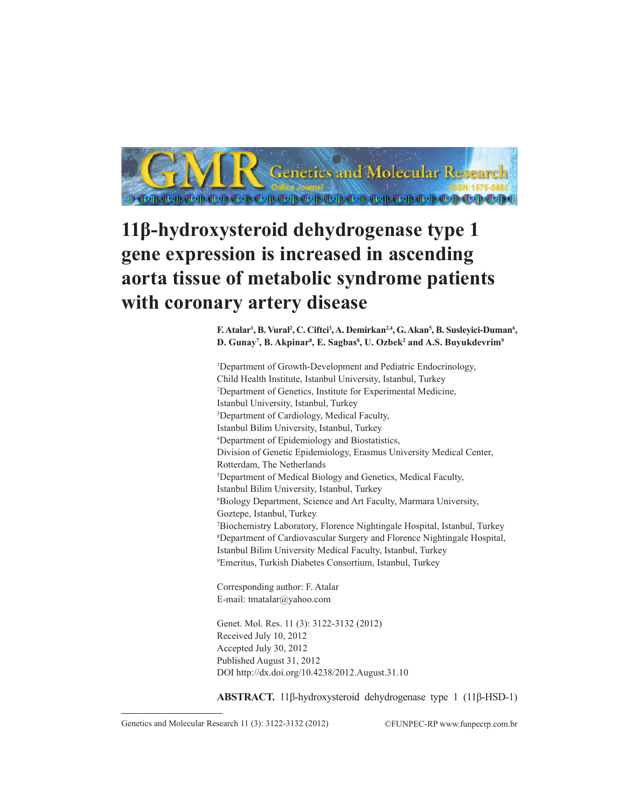

# **11β-hydroxysteroid dehydrogenase type 1 gene expression is increased in ascending aorta tissue of metabolic syndrome patients with coronary artery disease**

**F. Atalar<sup>1</sup> , B. Vural<sup>2</sup> , C. Ciftci<sup>3</sup> , A. Demirkan2,4, G. Akan<sup>5</sup> , B. Susleyici-Duman<sup>6</sup> , D. Gunay<sup>7</sup> , B. Akpinar<sup>8</sup> , E. Sagbas<sup>8</sup> , U. Ozbek<sup>2</sup> and A.S. Buyukdevrim9** 

1 Department of Growth-Development and Pediatric Endocrinology, Child Health Institute, Istanbul University, Istanbul, Turkey 2 Department of Genetics, Institute for Experimental Medicine, Istanbul University, Istanbul, Turkey 3 Department of Cardiology, Medical Faculty, Istanbul Bilim University, Istanbul, Turkey 4 Department of Epidemiology and Biostatistics, Division of Genetic Epidemiology, Erasmus University Medical Center, Rotterdam, The Netherlands 5 Department of Medical Biology and Genetics, Medical Faculty, Istanbul Bilim University, Istanbul, Turkey 6 Biology Department, Science and Art Faculty, Marmara University, Goztepe, Istanbul, Turkey 7 Biochemistry Laboratory, Florence Nightingale Hospital, Istanbul, Turkey 8 Department of Cardiovascular Surgery and Florence Nightingale Hospital, Istanbul Bilim University Medical Faculty, Istanbul, Turkey 9 Emeritus, Turkish Diabetes Consortium, Istanbul, Turkey

Corresponding author: F. Atalar E-mail: tmatalar@yahoo.com

Genet. Mol. Res. 11 (3): 3122-3132 (2012) Received July 10, 2012 Accepted July 30, 2012 Published August 31, 2012 DOI http://dx.doi.org/10.4238/2012.August.31.10

**ABSTRACT.** 11β-hydroxysteroid dehydrogenase type 1 (11β-HSD-1)

Genetics and Molecular Research 11 (3): 3122-3132 (2012) ©FUNPEC-RP www.funpecrp.com.br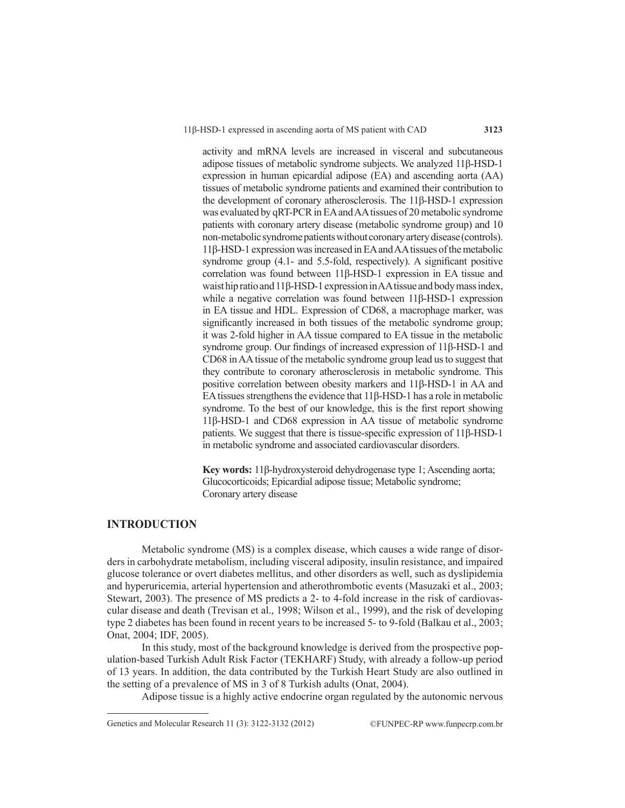activity and mRNA levels are increased in visceral and subcutaneous adipose tissues of metabolic syndrome subjects. We analyzed 11β-HSD-1 expression in human epicardial adipose (EA) and ascending aorta (AA) tissues of metabolic syndrome patients and examined their contribution to the development of coronary atherosclerosis. The 11β-HSD-1 expression was evaluated by qRT-PCR in EA and AA tissues of 20 metabolic syndrome patients with coronary artery disease (metabolic syndrome group) and 10 non-metabolic syndrome patients without coronary artery disease (controls). 11β-HSD-1 expression was increased in EA and AA tissues of the metabolic syndrome group (4.1- and 5.5-fold, respectively). A significant positive correlation was found between 11β-HSD-1 expression in EA tissue and waist hip ratio and 11β-HSD-1 expression in AA tissue and body mass index, while a negative correlation was found between 11β-HSD-1 expression in EA tissue and HDL. Expression of CD68, a macrophage marker, was significantly increased in both tissues of the metabolic syndrome group; it was 2-fold higher in AA tissue compared to EA tissue in the metabolic syndrome group. Our findings of increased expression of 11β-HSD-1 and CD68 in AA tissue of the metabolic syndrome group lead us to suggest that they contribute to coronary atherosclerosis in metabolic syndrome. This positive correlation between obesity markers and 11β-HSD-1 in AA and EA tissues strengthens the evidence that 11β-HSD-1 has a role in metabolic syndrome. To the best of our knowledge, this is the first report showing 11β-HSD-1 and CD68 expression in AA tissue of metabolic syndrome patients. We suggest that there is tissue-specific expression of 11β-HSD-1 in metabolic syndrome and associated cardiovascular disorders.

**Key words:** 11β-hydroxysteroid dehydrogenase type 1; Ascending aorta; Glucocorticoids; Epicardial adipose tissue; Metabolic syndrome; Coronary artery disease

#### **INTRODUCTION**

Metabolic syndrome (MS) is a complex disease, which causes a wide range of disorders in carbohydrate metabolism, including visceral adiposity, insulin resistance, and impaired glucose tolerance or overt diabetes mellitus, and other disorders as well, such as dyslipidemia and hyperuricemia, arterial hypertension and atherothrombotic events (Masuzaki et al., 2003; Stewart, 2003). The presence of MS predicts a 2- to 4-fold increase in the risk of cardiovascular disease and death (Trevisan et al., 1998; Wilson et al., 1999), and the risk of developing type 2 diabetes has been found in recent years to be increased 5- to 9-fold (Balkau et al., 2003; Onat, 2004; IDF, 2005).

In this study, most of the background knowledge is derived from the prospective population-based Turkish Adult Risk Factor (TEKHARF) Study, with already a follow-up period of 13 years. In addition, the data contributed by the Turkish Heart Study are also outlined in the setting of a prevalence of MS in 3 of 8 Turkish adults (Onat, 2004).

Adipose tissue is a highly active endocrine organ regulated by the autonomic nervous

Genetics and Molecular Research 11 (3): 3122-3132 (2012) ©FUNPEC-RP www.funpecrp.com.br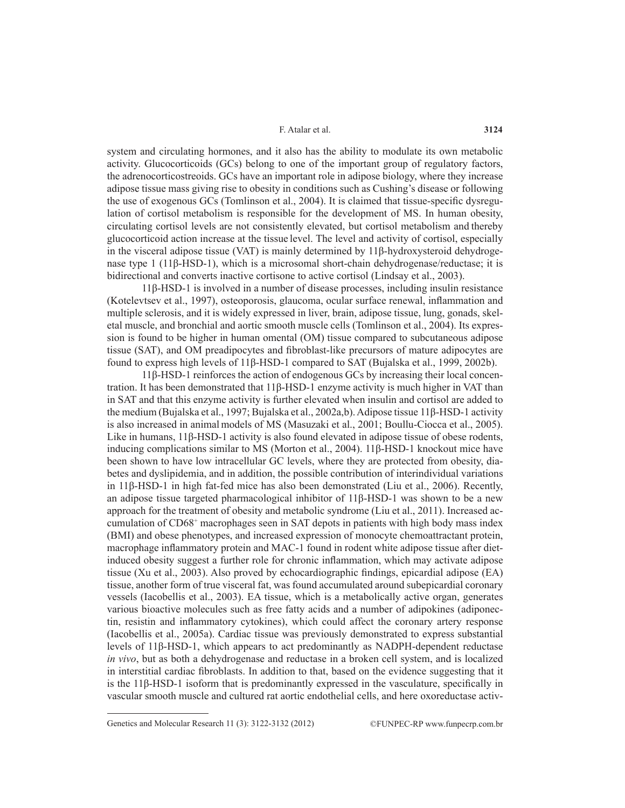system and circulating hormones, and it also has the ability to modulate its own metabolic activity. Glucocorticoids (GCs) belong to one of the important group of regulatory factors, the adrenocorticostreoids. GCs have an important role in adipose biology, where they increase adipose tissue mass giving rise to obesity in conditions such as Cushing's disease or following the use of exogenous GCs (Tomlinson et al., 2004). It is claimed that tissue-specific dysregulation of cortisol metabolism is responsible for the development of MS. In human obesity, circulating cortisol levels are not consistently elevated, but cortisol metabolism and thereby glucocorticoid action increase at the tissue level. The level and activity of cortisol, especially in the visceral adipose tissue (VAT) is mainly determined by 11β-hydroxysteroid dehydrogenase type 1 (11β-HSD-1), which is a microsomal short-chain dehydrogenase/reductase; it is bidirectional and converts inactive cortisone to active cortisol (Lindsay et al., 2003).

11β-HSD-1 is involved in a number of disease processes, including insulin resistance (Kotelevtsev et al., 1997), osteoporosis, glaucoma, ocular surface renewal, inflammation and multiple sclerosis, and it is widely expressed in liver, brain, adipose tissue, lung, gonads, skeletal muscle, and bronchial and aortic smooth muscle cells (Tomlinson et al., 2004). Its expression is found to be higher in human omental (OM) tissue compared to subcutaneous adipose tissue (SAT), and OM preadipocytes and fibroblast-like precursors of mature adipocytes are found to express high levels of 11β-HSD-1 compared to SAT (Bujalska et al., 1999, 2002b).

11β-HSD-1 reinforces the action of endogenous GCs by increasing their local concentration. It has been demonstrated that 11β-HSD-1 enzyme activity is much higher in VAT than in SAT and that this enzyme activity is further elevated when insulin and cortisol are added to the medium (Bujalska et al., 1997; Bujalska et al., 2002a,b). Adipose tissue 11β-HSD-1 activity is also increased in animalmodels of MS (Masuzaki et al., 2001; Boullu-Ciocca et al., 2005). Like in humans, 11β-HSD-1 activity is also found elevated in adipose tissue of obese rodents, inducing complications similar to MS (Morton et al., 2004). 11β-HSD-1 knockout mice have been shown to have low intracellular GC levels, where they are protected from obesity, diabetes and dyslipidemia, and in addition, the possible contribution of interindividual variations in 11β-HSD-1 in high fat-fed mice has also been demonstrated (Liu et al., 2006). Recently, an adipose tissue targeted pharmacological inhibitor of 11β-HSD-1 was shown to be a new approach for the treatment of obesity and metabolic syndrome (Liu et al., 2011). Increased accumulation of CD68+ macrophages seen in SAT depots in patients with high body mass index (BMI) and obese phenotypes, and increased expression of monocyte chemoattractant protein, macrophage inflammatory protein and MAC-1 found in rodent white adipose tissue after dietinduced obesity suggest a further role for chronic inflammation, which may activate adipose tissue (Xu et al., 2003). Also proved by echocardiographic findings, epicardial adipose (EA) tissue, another form of true visceral fat, was found accumulated around subepicardial coronary vessels (Iacobellis et al., 2003). EA tissue, which is a metabolically active organ, generates various bioactive molecules such as free fatty acids and a number of adipokines (adiponectin, resistin and inflammatory cytokines), which could affect the coronary artery response (Iacobellis et al., 2005a). Cardiac tissue was previously demonstrated to express substantial levels of 11β-HSD-1, which appears to act predominantly as NADPH-dependent reductase *in vivo*, but as both a dehydrogenase and reductase in a broken cell system, and is localized in interstitial cardiac fibroblasts. In addition to that, based on the evidence suggesting that it is the 11β-HSD-1 isoform that is predominantly expressed in the vasculature, specifically in vascular smooth muscle and cultured rat aortic endothelial cells, and here oxoreductase activ-

Genetics and Molecular Research 11 (3): 3122-3132 (2012) ©FUNPEC-RP www.funpecrp.com.br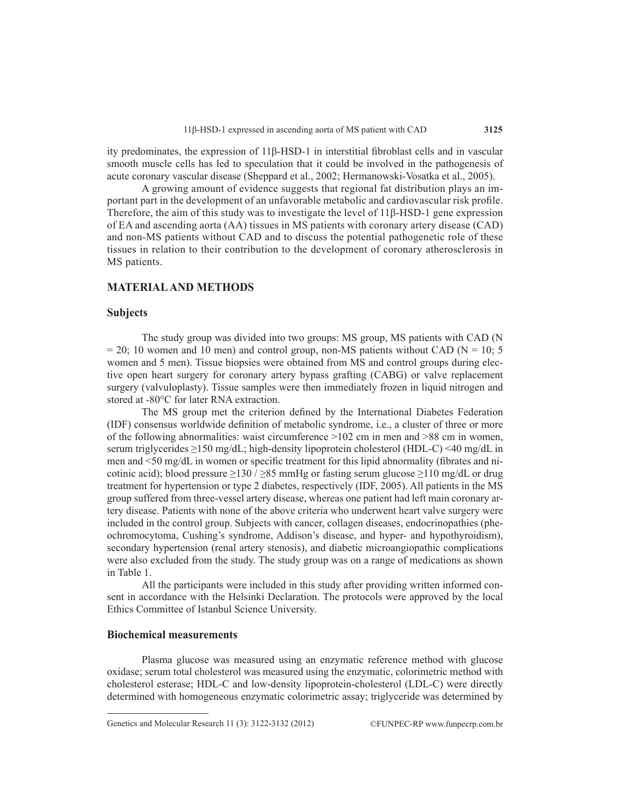ity predominates, the expression of 11β-HSD-1 in interstitial fibroblast cells and in vascular smooth muscle cells has led to speculation that it could be involved in the pathogenesis of acute coronary vascular disease (Sheppard et al., 2002; Hermanowski-Vosatka et al., 2005).

A growing amount of evidence suggests that regional fat distribution plays an important part in the development of an unfavorable metabolic and cardiovascular risk profile. Therefore, the aim of this study was to investigate the level of 11β-HSD-1 gene expression of EA and ascending aorta (AA) tissues in MS patients with coronary artery disease (CAD) and non-MS patients without CAD and to discuss the potential pathogenetic role of these tissues in relation to their contribution to the development of coronary atherosclerosis in MS patients.

# **MATERIAL AND METHODS**

#### **Subjects**

The study group was divided into two groups: MS group, MS patients with CAD (N  $= 20$ ; 10 women and 10 men) and control group, non-MS patients without CAD (N = 10; 5) women and 5 men). Tissue biopsies were obtained from MS and control groups during elective open heart surgery for coronary artery bypass grafting (CABG) or valve replacement surgery (valvuloplasty). Tissue samples were then immediately frozen in liquid nitrogen and stored at -80°C for later RNA extraction.

The MS group met the criterion defined by the International Diabetes Federation (IDF) consensus worldwide definition of metabolic syndrome, i.e., a cluster of three or more of the following abnormalities: waist circumference >102 cm in men and >88 cm in women, serum triglycerides ≥150 mg/dL; high-density lipoprotein cholesterol (HDL-C) <40 mg/dL in men and <50 mg/dL in women or specific treatment for this lipid abnormality (fibrates and nicotinic acid); blood pressure  $\geq$ 130 /  $\geq$ 85 mmHg or fasting serum glucose  $\geq$ 110 mg/dL or drug treatment for hypertension or type 2 diabetes, respectively (IDF, 2005). All patients in the MS group suffered from three-vessel artery disease, whereas one patient had left main coronary artery disease. Patients with none of the above criteria who underwent heart valve surgery were included in the control group. Subjects with cancer, collagen diseases, endocrinopathies (pheochromocytoma, Cushing's syndrome, Addison's disease, and hyper- and hypothyroidism), secondary hypertension (renal artery stenosis), and diabetic microangiopathic complications were also excluded from the study. The study group was on a range of medications as shown in Table 1.

All the participants were included in this study after providing written informed consent in accordance with the Helsinki Declaration. The protocols were approved by the local Ethics Committee of Istanbul Science University.

#### **Biochemical measurements**

Plasma glucose was measured using an enzymatic reference method with glucose oxidase; serum total cholesterol was measured using the enzymatic, colorimetric method with cholesterol esterase; HDL-C and low-density lipoprotein-cholesterol (LDL-C) were directly determined with homogeneous enzymatic colorimetric assay; triglyceride was determined by

Genetics and Molecular Research 11 (3): 3122-3132 (2012) ©FUNPEC-RP www.funpecrp.com.br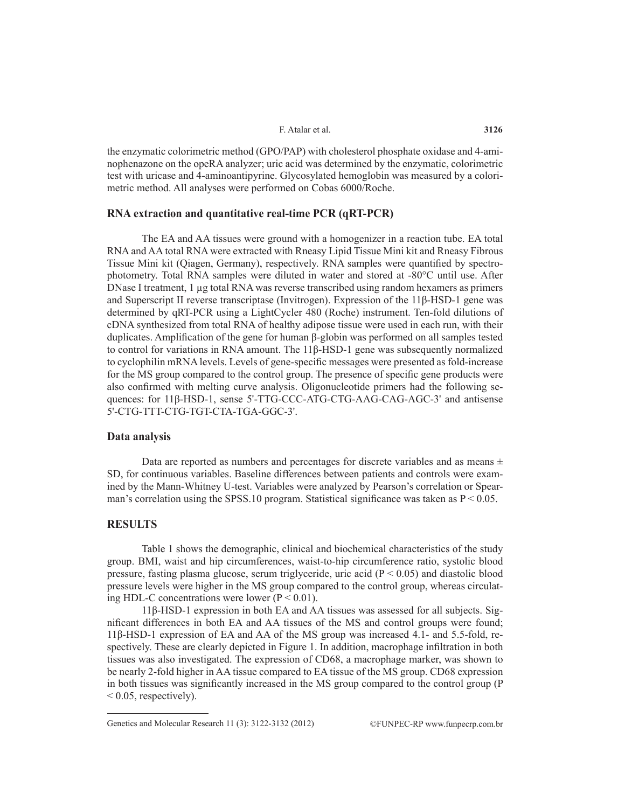the enzymatic colorimetric method (GPO/PAP) with cholesterol phosphate oxidase and 4-aminophenazone on the opeRA analyzer; uric acid was determined by the enzymatic, colorimetric test with uricase and 4-aminoantipyrine. Glycosylated hemoglobin was measured by a colorimetric method. All analyses were performed on Cobas 6000/Roche.

### **RNA extraction and quantitative real-time PCR (qRT-PCR)**

The EA and AA tissues were ground with a homogenizer in a reaction tube. EA total RNA and AA total RNA were extracted with Rneasy Lipid Tissue Mini kit and Rneasy Fibrous Tissue Mini kit (Qiagen, Germany), respectively. RNA samples were quantified by spectrophotometry. Total RNA samples were diluted in water and stored at -80°C until use. After DNase I treatment, 1 µg total RNA was reverse transcribed using random hexamers as primers and Superscript II reverse transcriptase (Invitrogen). Expression of the 11β-HSD-1 gene was determined by qRT-PCR using a LightCycler 480 (Roche) instrument. Ten-fold dilutions of cDNA synthesized from total RNA of healthy adipose tissue were used in each run, with their duplicates. Amplification of the gene for human β-globin was performed on all samples tested to control for variations in RNA amount. The 11β-HSD-1 gene was subsequently normalized to cyclophilin mRNA levels. Levels of gene-specific messages were presented as fold-increase for the MS group compared to the control group. The presence of specific gene products were also confirmed with melting curve analysis. Oligonucleotide primers had the following sequences: for 11β-HSD-1, sense 5'-TTG-CCC-ATG-CTG-AAG-CAG-AGC-3' and antisense 5'-CTG-TTT-CTG-TGT-CTA-TGA-GGC-3'.

# **Data analysis**

Data are reported as numbers and percentages for discrete variables and as means  $\pm$ SD, for continuous variables. Baseline differences between patients and controls were examined by the Mann-Whitney U-test. Variables were analyzed by Pearson's correlation or Spearman's correlation using the SPSS.10 program. Statistical significance was taken as  $P < 0.05$ .

# **RESULTS**

Table 1 shows the demographic, clinical and biochemical characteristics of the study group. BMI, waist and hip circumferences, waist-to-hip circumference ratio, systolic blood pressure, fasting plasma glucose, serum triglyceride, uric acid  $(P < 0.05)$  and diastolic blood pressure levels were higher in the MS group compared to the control group, whereas circulating HDL-C concentrations were lower  $(P < 0.01)$ .

11β-HSD-1 expression in both EA and AA tissues was assessed for all subjects. Significant differences in both EA and AA tissues of the MS and control groups were found; 11β-HSD-1 expression of EA and AA of the MS group was increased 4.1- and 5.5-fold, respectively. These are clearly depicted in Figure 1. In addition, macrophage infiltration in both tissues was also investigated. The expression of CD68, a macrophage marker, was shown to be nearly 2-fold higher in AA tissue compared to EA tissue of the MS group. CD68 expression in both tissues was significantly increased in the MS group compared to the control group (P < 0.05, respectively).

Genetics and Molecular Research 11 (3): 3122-3132 (2012) ©FUNPEC-RP www.funpecrp.com.br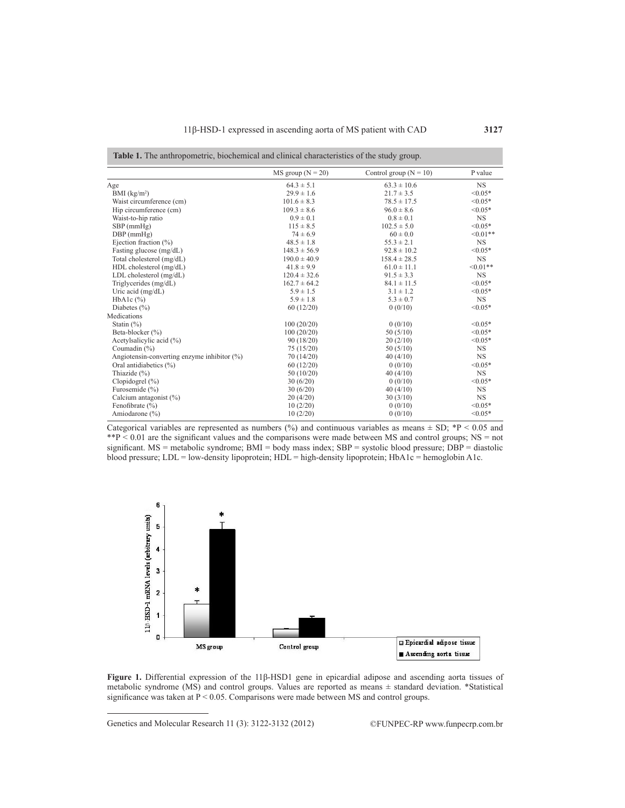|                                                | $MS$ group $(N = 20)$ | Control group ( $N = 10$ ) | P value   |
|------------------------------------------------|-----------------------|----------------------------|-----------|
| Age                                            | $64.3 \pm 5.1$        | $63.3 \pm 10.6$            | <b>NS</b> |
| BMI (kg/m <sup>2</sup> )                       | $29.9 \pm 1.6$        | $21.7 \pm 3.5$             | $< 0.05*$ |
| Waist circumference (cm)                       | $101.6 \pm 8.3$       | $78.5 \pm 17.5$            | $< 0.05*$ |
| Hip circumference (cm)                         | $109.3 \pm 8.6$       | $96.0 \pm 8.6$             | $< 0.05*$ |
| Waist-to-hip ratio                             | $0.9 \pm 0.1$         | $0.8 \pm 0.1$              | <b>NS</b> |
| $SBP$ (mmHg)                                   | $115 \pm 8.5$         | $102.5 \pm 5.0$            | $< 0.05*$ |
| $DBP$ (mm $Hg$ )                               | $74 \pm 6.9$          | $60 \pm 0.0$               | $<0.01**$ |
| Ejection fraction $(\% )$                      | $48.5 \pm 1.8$        | $55.3 \pm 2.1$             | <b>NS</b> |
| Fasting glucose (mg/dL)                        | $148.3 \pm 56.9$      | $92.8 \pm 10.2$            | $< 0.05*$ |
| Total cholesterol (mg/dL)                      | $190.0 \pm 40.9$      | $158.4 \pm 28.5$           | <b>NS</b> |
| HDL cholesterol (mg/dL)                        | $41.8 \pm 9.9$        | $61.0 \pm 11.1$            | $<0.01**$ |
| LDL cholesterol (mg/dL)                        | $120.4 \pm 32.6$      | $91.5 \pm 3.3$             | <b>NS</b> |
| Triglycerides (mg/dL)                          | $162.7 \pm 64.2$      | $84.1 \pm 11.5$            | $< 0.05*$ |
| Uric acid $(mg/dL)$                            | $5.9 \pm 1.5$         | $3.1 \pm 1.2$              | $< 0.05*$ |
| $HbA1c$ $(\% )$                                | $5.9 \pm 1.8$         | $5.3 \pm 0.7$              | <b>NS</b> |
| Diabetes $(\% )$                               | 60(12/20)             | 0(0/10)                    | $< 0.05*$ |
| Medications                                    |                       |                            |           |
| Statin $(\% )$                                 | 100(20/20)            | 0(0/10)                    | $< 0.05*$ |
| Beta-blocker (%)                               | 100(20/20)            | 50(5/10)                   | $< 0.05*$ |
| Acetylsalicylic acid (%)                       | 90 (18/20)            | 20(2/10)                   | $< 0.05*$ |
| Coumadin (%)                                   | 75(15/20)             | 50(5/10)                   | <b>NS</b> |
| Angiotensin-converting enzyme inhibitor $(\%)$ | 70(14/20)             | 40(4/10)                   | <b>NS</b> |
| Oral antidiabetics (%)                         | 60(12/20)             | 0(0/10)                    | $< 0.05*$ |
| Thiazide (%)                                   | 50(10/20)             | 40(4/10)                   | <b>NS</b> |
| Clopidogrel $(\% )$                            | 30(6/20)              | 0(0/10)                    | $< 0.05*$ |
| Furosemide (%)                                 | 30(6/20)              | 40(4/10)                   | <b>NS</b> |
| Calcium antagonist (%)                         | 20(4/20)              | 30(3/10)                   | <b>NS</b> |
| Fenofibrate $(\% )$                            | 10(2/20)              | 0(0/10)                    | $< 0.05*$ |
| Amiodarone $(\% )$                             | 10(2/20)              | 0(0/10)                    | $< 0.05*$ |

Categorical variables are represented as numbers (%) and continuous variables as means  $\pm$  SD; \*P < 0.05 and  $*P < 0.01$  are the significant values and the comparisons were made between MS and control groups; NS = not significant. MS = metabolic syndrome; BMI = body mass index; SBP = systolic blood pressure; DBP = diastolic blood pressure; LDL = low-density lipoprotein; HDL = high-density lipoprotein; HbA1c = hemoglobin A1c.



**Figure 1.** Differential expression of the 11β-HSD1 gene in epicardial adipose and ascending aorta tissues of metabolic syndrome (MS) and control groups. Values are reported as means ± standard deviation. \*Statistical significance was taken at  $P < 0.05$ . Comparisons were made between MS and control groups.

Genetics and Molecular Research 11 (3): 3122-3132 (2012) ©FUNPEC-RP www.funpecrp.com.br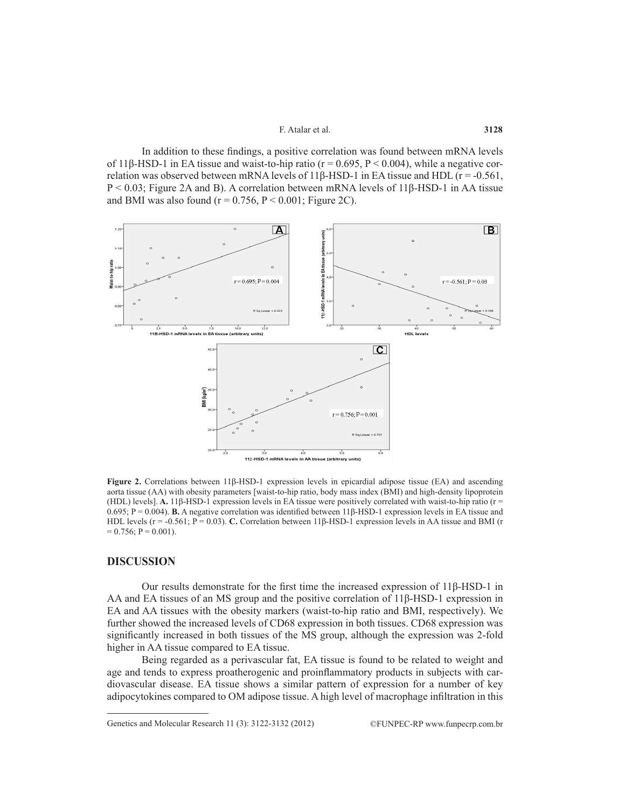In addition to these findings, a positive correlation was found between mRNA levels of 11β-HSD-1 in EA tissue and waist-to-hip ratio ( $r = 0.695$ ,  $P < 0.004$ ), while a negative correlation was observed between mRNA levels of 11 $\beta$ -HSD-1 in EA tissue and HDL ( $r = -0.561$ , P < 0.03; Figure 2A and B). A correlation between mRNA levels of 11β-HSD-1 in AA tissue and BMI was also found ( $r = 0.756$ ,  $P \le 0.001$ ; Figure 2C).



**Figure 2.** Correlations between 11β-HSD-1 expression levels in epicardial adipose tissue (EA) and ascending aorta tissue (AA) with obesity parameters [waist-to-hip ratio, body mass index (BMI) and high-density lipoprotein (HDL) levels]. **A.** 11β-HSD-1 expression levels in EA tissue were positively correlated with waist-to-hip ratio (r = 0.695; P = 0.004). **B.** A negative correlation was identified between 11β-HSD-1 expression levels in EA tissue and HDL levels (r = -0.561; P = 0.03). **C.** Correlation between 11β-HSD-1 expression levels in AA tissue and BMI (r  $= 0.756$ ;  $P = 0.001$ ).

#### **DISCUSSION**

Our results demonstrate for the first time the increased expression of 11β-HSD-1 in AA and EA tissues of an MS group and the positive correlation of 11β-HSD-1 expression in EA and AA tissues with the obesity markers (waist-to-hip ratio and BMI, respectively). We further showed the increased levels of CD68 expression in both tissues. CD68 expression was significantly increased in both tissues of the MS group, although the expression was 2-fold higher in AA tissue compared to EA tissue.

Being regarded as a perivascular fat, EA tissue is found to be related to weight and age and tends to express proatherogenic and proinflammatory products in subjects with cardiovascular disease. EA tissue shows a similar pattern of expression for a number of key adipocytokines compared to OM adipose tissue. A high level of macrophage infiltration in this

Genetics and Molecular Research 11 (3): 3122-3132 (2012) ©FUNPEC-RP www.funpecrp.com.br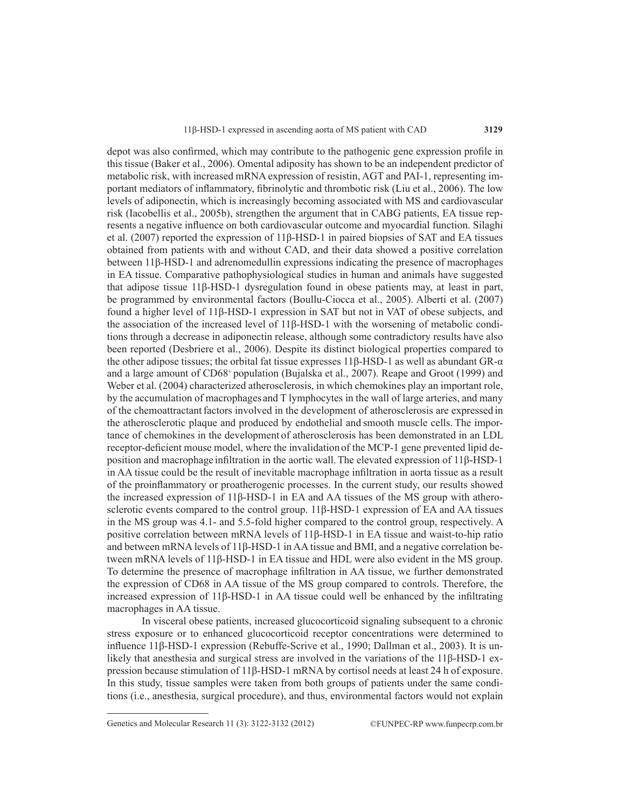depot was also confirmed, which may contribute to the pathogenic gene expression profile in this tissue (Baker et al., 2006). Omental adiposity has shown to be an independent predictor of metabolic risk, with increased mRNA expression of resistin, AGT and PAI-1, representing important mediators of inflammatory, fibrinolytic and thrombotic risk (Liu et al., 2006). The low levels of adiponectin, which is increasingly becoming associated with MS and cardiovascular risk (Iacobellis et al., 2005b), strengthen the argument that in CABG patients, EA tissue represents a negative influence on both cardiovascular outcome and myocardial function. Silaghi et al. (2007) reported the expression of 11β-HSD-1 in paired biopsies of SAT and EA tissues obtained from patients with and without CAD, and their data showed a positive correlation between 11β-HSD-1 and adrenomedullin expressions indicating the presence of macrophages in EA tissue. Comparative pathophysiological studies in human and animals have suggested that adipose tissue 11β-HSD-1 dysregulation found in obese patients may, at least in part, be programmed by environmental factors (Boullu-Ciocca et al., 2005). Alberti et al. (2007) found a higher level of 11β-HSD-1 expression in SAT but not in VAT of obese subjects, and the association of the increased level of 11β-HSD-1 with the worsening of metabolic conditions through a decrease in adiponectin release, although some contradictory results have also been reported (Desbriere et al., 2006). Despite its distinct biological properties compared to the other adipose tissues; the orbital fat tissue expresses 11β-HSD-1 as well as abundant GR-α and a large amount of CD68+ population (Bujalska et al., 2007). Reape and Groot (1999) and Weber et al. (2004) characterized atherosclerosis, in which chemokines play an important role, by the accumulation of macrophages and T lymphocytes in the wall of large arteries, and many of the chemoattractantfactors involved in the development of atherosclerosis are expressed in the atherosclerotic plaque and produced by endothelial and smooth muscle cells. The importance of chemokines in the development of atherosclerosis has been demonstrated in an LDL receptor-deficient mouse model, where the invalidation of the MCP-1 gene prevented lipid deposition and macrophage infiltration in the aortic wall.The elevated expression of 11β-HSD-1 in AA tissue could be the result of inevitable macrophage infiltration in aorta tissue as a result of the proinflammatory or proatherogenic processes. In the current study, our results showed the increased expression of 11β-HSD-1 in EA and AA tissues of the MS group with atherosclerotic events compared to the control group. 11β-HSD-1 expression of EA and AA tissues in the MS group was 4.1- and 5.5-fold higher compared to the control group, respectively. A positive correlation between mRNA levels of 11β-HSD-1 in EA tissue and waist-to-hip ratio and between mRNA levels of 11β-HSD-1 in AA tissue and BMI, and a negative correlation between mRNA levels of 11β-HSD-1 in EA tissue and HDL were also evident in the MS group. To determine the presence of macrophage infiltration in AA tissue, we further demonstrated the expression of CD68 in AA tissue of the MS group compared to controls. Therefore, the increased expression of 11β-HSD-1 in AA tissue could well be enhanced by the infiltrating macrophages in AA tissue.

In visceral obese patients, increased glucocorticoid signaling subsequent to a chronic stress exposure or to enhanced glucocorticoid receptor concentrations were determined to influence 11β-HSD-1 expression (Rebuffe-Scrive et al., 1990; Dallman et al., 2003). It is unlikely that anesthesia and surgical stress are involved in the variations of the 11β-HSD-1 expression because stimulation of 11β-HSD-1 mRNA by cortisol needs at least 24 h of exposure. In this study, tissue samples were taken from both groups of patients under the same conditions (i.e., anesthesia, surgical procedure), and thus, environmental factors would not explain

Genetics and Molecular Research 11 (3): 3122-3132 (2012) ©FUNPEC-RP www.funpecrp.com.br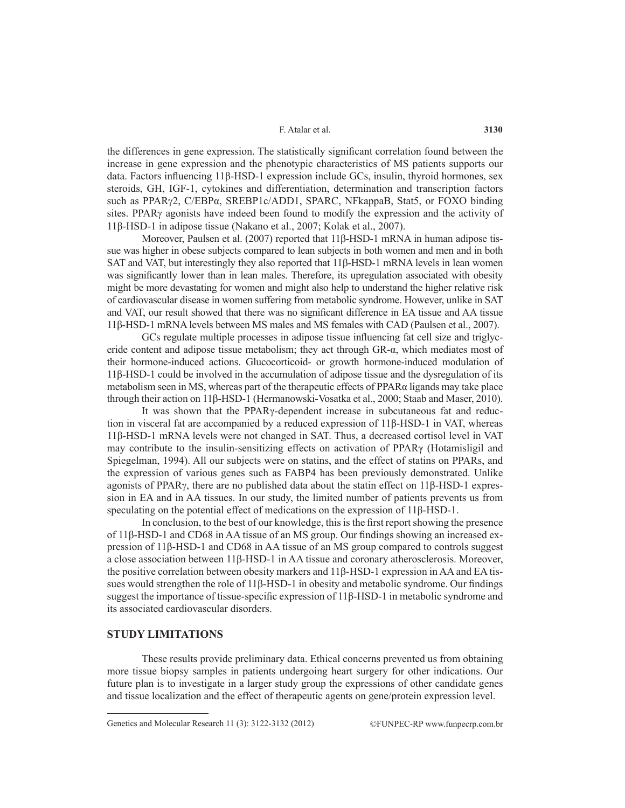the differences in gene expression. The statistically significant correlation found between the increase in gene expression and the phenotypic characteristics of MS patients supports our data. Factors influencing 11β-HSD-1 expression include GCs, insulin, thyroid hormones, sex steroids, GH, IGF-1, cytokines and differentiation, determination and transcription factors such as PPARγ2, C/EBPα, SREBP1c/ADD1, SPARC, NFkappaB, Stat5, or FOXO binding sites. PPARg agonists have indeed been found to modify the expression and the activity of 11β-HSD-1 in adipose tissue (Nakano et al., 2007; Kolak et al., 2007).

Moreover, Paulsen et al. (2007) reported that 11β-HSD-1 mRNA in human adipose tissue was higher in obese subjects compared to lean subjects in both women and men and in both SAT and VAT, but interestingly they also reported that 11β-HSD-1 mRNA levels in lean women was significantly lower than in lean males. Therefore, its upregulation associated with obesity might be more devastating for women and might also help to understand the higher relative risk of cardiovascular disease in women suffering from metabolic syndrome. However, unlike in SAT and VAT, our result showed that there was no significant difference in EA tissue and AA tissue 11β-HSD-1 mRNA levels between MS males and MS females with CAD (Paulsen et al., 2007).

GCs regulate multiple processes in adipose tissue influencing fat cell size and triglyceride content and adipose tissue metabolism; they act through GR-α, which mediates most of their hormone-induced actions. Glucocorticoid- or growth hormone-induced modulation of 11β-HSD-1 could be involved in the accumulation of adipose tissue and the dysregulation of its metabolism seen in MS, whereas part of the therapeutic effects of PPARα ligands may take place through their action on 11β-HSD-1 (Hermanowski-Vosatka et al., 2000; Staab and Maser, 2010).

It was shown that the PPARγ-dependent increase in subcutaneous fat and reduction in visceral fat are accompanied by a reduced expression of 11β-HSD-1 in VAT, whereas 11β-HSD-1 mRNA levels were not changed in SAT. Thus, a decreased cortisol level in VAT may contribute to the insulin-sensitizing effects on activation of PPARγ (Hotamisligil and Spiegelman, 1994). All our subjects were on statins, and the effect of statins on PPARs, and the expression of various genes such as FABP4 has been previously demonstrated. Unlike agonists of PPARg, there are no published data about the statin effect on 11β-HSD-1 expression in EA and in AA tissues. In our study, the limited number of patients prevents us from speculating on the potential effect of medications on the expression of 11β-HSD-1.

In conclusion, to the best of our knowledge, this is the first report showing the presence of 11β-HSD-1 and CD68 in AA tissue of an MS group. Our findings showing an increased expression of 11β-HSD-1 and CD68 in AA tissue of an MS group compared to controls suggest a close association between 11β-HSD-1 in AA tissue and coronary atherosclerosis. Moreover, the positive correlation between obesity markers and 11β-HSD-1 expression in AA and EA tissues would strengthen the role of 11β-HSD-1 in obesity and metabolic syndrome. Our findings suggest the importance of tissue-specific expression of 11β-HSD-1 in metabolic syndrome and its associated cardiovascular disorders.

## **STUDY LIMITATIONS**

These results provide preliminary data. Ethical concerns prevented us from obtaining more tissue biopsy samples in patients undergoing heart surgery for other indications. Our future plan is to investigate in a larger study group the expressions of other candidate genes and tissue localization and the effect of therapeutic agents on gene/protein expression level.

Genetics and Molecular Research 11 (3): 3122-3132 (2012) ©FUNPEC-RP www.funpecrp.com.br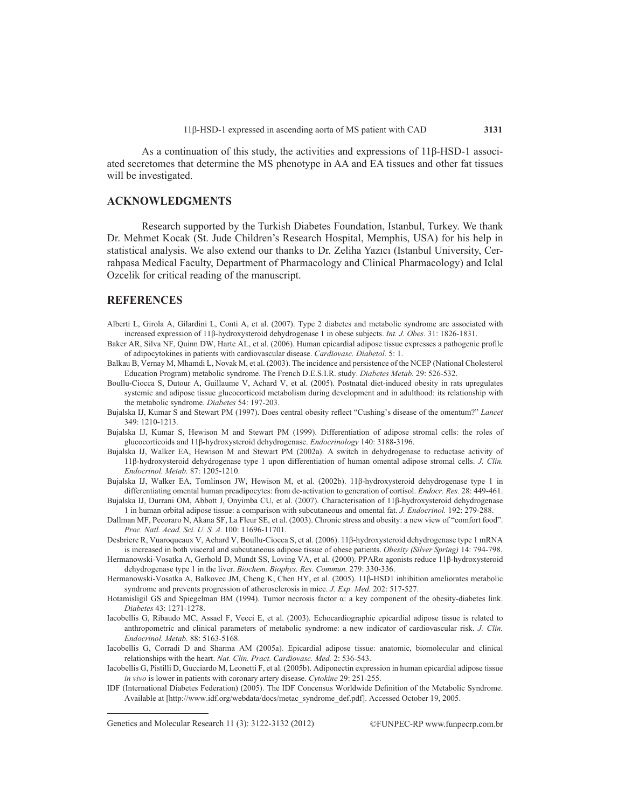As a continuation of this study, the activities and expressions of 11β-HSD-1 associated secretomes that determine the MS phenotype in AA and EA tissues and other fat tissues will be investigated.

# **ACKNOWLEDGMENTS**

Research supported by the Turkish Diabetes Foundation, Istanbul, Turkey. We thank Dr. Mehmet Kocak (St. Jude Children's Research Hospital, Memphis, USA) for his help in statistical analysis. We also extend our thanks to Dr. Zeliha Yazıcı (Istanbul University, Cerrahpasa Medical Faculty, Department of Pharmacology and Clinical Pharmacology) and Iclal Ozcelik for critical reading of the manuscript.

#### **REFERENCES**

- Alberti L, Girola A, Gilardini L, Conti A, et al. (2007). Type 2 diabetes and metabolic syndrome are associated with increased expression of 11β-hydroxysteroid dehydrogenase 1 in obese subjects. *Int. J. Obes.* 31: 1826-1831.
- Baker AR, Silva NF, Quinn DW, Harte AL, et al. (2006). Human epicardial adipose tissue expresses a pathogenic profile of adipocytokines in patients with cardiovascular disease. *Cardiovasc. Diabetol.* 5: 1.
- Balkau B, Vernay M, Mhamdi L, Novak M, et al. (2003). The incidence and persistence of the NCEP (National Cholesterol Education Program) metabolic syndrome. The French D.E.S.I.R. study. *Diabetes Metab.* 29: 526-532.
- Boullu-Ciocca S, Dutour A, Guillaume V, Achard V, et al. (2005). Postnatal diet-induced obesity in rats upregulates systemic and adipose tissue glucocorticoid metabolism during development and in adulthood: its relationship with the metabolic syndrome. *Diabetes* 54: 197-203.
- Bujalska IJ, Kumar S and Stewart PM (1997). Does central obesity reflect "Cushing's disease of the omentum?" *Lancet* 349: 1210-1213.
- Bujalska IJ, Kumar S, Hewison M and Stewart PM (1999). Differentiation of adipose stromal cells: the roles of glucocorticoids and 11β-hydroxysteroid dehydrogenase. *Endocrinology* 140: 3188-3196.
- Bujalska IJ, Walker EA, Hewison M and Stewart PM (2002a). A switch in dehydrogenase to reductase activity of 11β-hydroxysteroid dehydrogenase type 1 upon differentiation of human omental adipose stromal cells. *J. Clin. Endocrinol. Metab.* 87: 1205-1210.
- Bujalska IJ, Walker EA, Tomlinson JW, Hewison M, et al. (2002b). 11β-hydroxysteroid dehydrogenase type 1 in differentiating omental human preadipocytes: from de-activation to generation of cortisol. *Endocr. Res.* 28: 449-461.
- Bujalska IJ, Durrani OM, Abbott J, Onyimba CU, et al. (2007). Characterisation of 11β-hydroxysteroid dehydrogenase 1 in human orbital adipose tissue: a comparison with subcutaneous and omental fat. *J. Endocrinol.* 192: 279-288.
- Dallman MF, Pecoraro N, Akana SF, La Fleur SE, et al. (2003). Chronic stress and obesity: a new view of "comfort food". *Proc. Natl. Acad. Sci. U. S. A.* 100: 11696-11701.
- Desbriere R, Vuaroqueaux V, Achard V, Boullu-Ciocca S, et al. (2006). 11β-hydroxysteroid dehydrogenase type 1 mRNA is increased in both visceral and subcutaneous adipose tissue of obese patients. *Obesity (Silver Spring)* 14: 794-798.
- Hermanowski-Vosatka A, Gerhold D, Mundt SS, Loving VA, et al. (2000). PPARα agonists reduce 11β-hydroxysteroid dehydrogenase type 1 in the liver. *Biochem. Biophys. Res. Commun.* 279: 330-336.
- Hermanowski-Vosatka A, Balkovec JM, Cheng K, Chen HY, et al. (2005). 11β-HSD1 inhibition ameliorates metabolic syndrome and prevents progression of atherosclerosis in mice. *J. Exp. Med.* 202: 517-527.
- Hotamisligil GS and Spiegelman BM (1994). Tumor necrosis factor α: a key component of the obesity-diabetes link. *Diabetes* 43: 1271-1278.
- Iacobellis G, Ribaudo MC, Assael F, Vecci E, et al. (2003). Echocardiographic epicardial adipose tissue is related to anthropometric and clinical parameters of metabolic syndrome: a new indicator of cardiovascular risk. *J. Clin. Endocrinol. Metab.* 88: 5163-5168.
- Iacobellis G, Corradi D and Sharma AM (2005a). Epicardial adipose tissue: anatomic, biomolecular and clinical relationships with the heart. *Nat. Clin. Pract. Cardiovasc. Med.* 2: 536-543.
- Iacobellis G, Pistilli D, Gucciardo M, Leonetti F, et al. (2005b). Adiponectin expression in human epicardial adipose tissue *in vivo* is lower in patients with coronary artery disease. *Cytokine* 29: 251-255.
- IDF (International Diabetes Federation) (2005). The IDF Concensus Worldwide Definition of the Metabolic Syndrome. Available at [http://www.idf.org/webdata/docs/metac\_syndrome\_def.pdf]. Accessed October 19, 2005.

Genetics and Molecular Research 11 (3): 3122-3132 (2012) ©FUNPEC-RP www.funpecrp.com.br